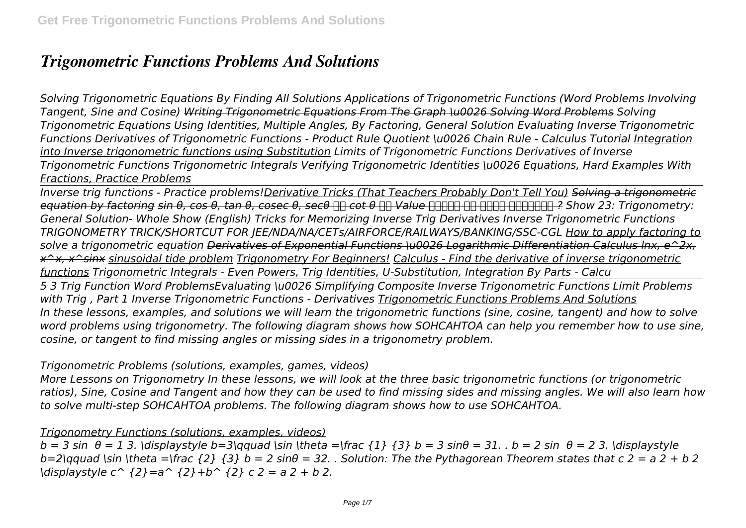# *Trigonometric Functions Problems And Solutions*

*Solving Trigonometric Equations By Finding All Solutions Applications of Trigonometric Functions (Word Problems Involving Tangent, Sine and Cosine) Writing Trigonometric Equations From The Graph \u0026 Solving Word Problems Solving Trigonometric Equations Using Identities, Multiple Angles, By Factoring, General Solution Evaluating Inverse Trigonometric Functions Derivatives of Trigonometric Functions - Product Rule Quotient \u0026 Chain Rule - Calculus Tutorial Integration into Inverse trigonometric functions using Substitution Limits of Trigonometric Functions Derivatives of Inverse Trigonometric Functions Trigonometric Integrals Verifying Trigonometric Identities \u0026 Equations, Hard Examples With Fractions, Practice Problems*

*Inverse trig functions - Practice problems!Derivative Tricks (That Teachers Probably Don't Tell You) Solving a trigonometric equation by factoring sin θ, cos θ, tan θ, cosec θ, secθ और cot θ का Value आसानी से कैसे निकालें ? Show 23: Trigonometry: General Solution- Whole Show (English) Tricks for Memorizing Inverse Trig Derivatives Inverse Trigonometric Functions TRIGONOMETRY TRICK/SHORTCUT FOR JEE/NDA/NA/CETs/AIRFORCE/RAILWAYS/BANKING/SSC-CGL How to apply factoring to solve a trigonometric equation Derivatives of Exponential Functions \u0026 Logarithmic Differentiation Calculus lnx, e^2x, x^x, x^sinx sinusoidal tide problem Trigonometry For Beginners! Calculus - Find the derivative of inverse trigonometric functions Trigonometric Integrals - Even Powers, Trig Identities, U-Substitution, Integration By Parts - Calcu* 

*5 3 Trig Function Word ProblemsEvaluating \u0026 Simplifying Composite Inverse Trigonometric Functions Limit Problems with Trig , Part 1 Inverse Trigonometric Functions - Derivatives Trigonometric Functions Problems And Solutions In these lessons, examples, and solutions we will learn the trigonometric functions (sine, cosine, tangent) and how to solve word problems using trigonometry. The following diagram shows how SOHCAHTOA can help you remember how to use sine, cosine, or tangent to find missing angles or missing sides in a trigonometry problem.*

## *Trigonometric Problems (solutions, examples, games, videos)*

*More Lessons on Trigonometry In these lessons, we will look at the three basic trigonometric functions (or trigonometric ratios), Sine, Cosine and Tangent and how they can be used to find missing sides and missing angles. We will also learn how to solve multi-step SOHCAHTOA problems. The following diagram shows how to use SOHCAHTOA.*

## *Trigonometry Functions (solutions, examples, videos)*

*b = 3 sin θ = 1 3. \displaystyle b=3\qquad \sin \theta =\frac {1} {3} b = 3 sinθ = 31. . b = 2 sin θ = 2 3. \displaystyle*  $b=2\q$ qquad \sin \theta =\frac  $\{2\}$   $\{3\}$   $b=2 \sin\theta = 32$ . . Solution: The the Pythagorean Theorem states that c 2 = a 2 + b 2 *\displaystyle c^ {2}=a^ {2}+b^ {2} c 2 = a 2 + b 2.*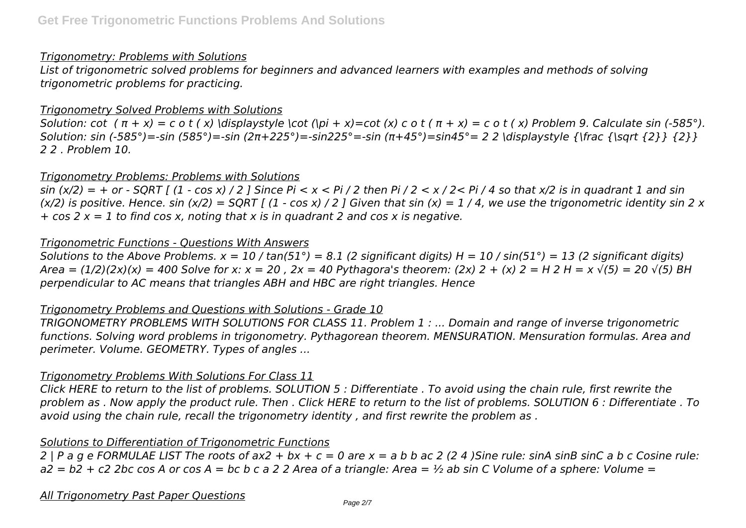#### *Trigonometry: Problems with Solutions*

*List of trigonometric solved problems for beginners and advanced learners with examples and methods of solving trigonometric problems for practicing.*

#### *Trigonometry Solved Problems with Solutions*

Solution: cot  $(π + x) = c o t (x)$  \displaystyle \cot (\pi + x)=cot (x) c o t  $(π + x) = c o t (x)$  Problem 9. Calculate sin (-585°). *Solution: sin (-585°)=-sin (585°)=-sin (2π+225°)=-sin225°=-sin (π+45°)=sin45°= 2 2 \displaystyle {\frac {\sqrt {2}} {2}} 2 2 . Problem 10.*

#### *Trigonometry Problems: Problems with Solutions*

*sin (x/2) = + or - SQRT [ (1 - cos x) / 2 ] Since Pi < x < Pi / 2 then Pi / 2 < x / 2< Pi / 4 so that x/2 is in quadrant 1 and sin (x/2) is positive. Hence. sin (x/2) = SQRT [ (1 - cos x) / 2 ] Given that sin (x) = 1 / 4, we use the trigonometric identity sin 2 x + cos 2 x = 1 to find cos x, noting that x is in quadrant 2 and cos x is negative.*

#### *Trigonometric Functions - Questions With Answers*

*Solutions to the Above Problems. x = 10 / tan(51°) = 8.1 (2 significant digits) H = 10 / sin(51°) = 13 (2 significant digits) Area = (1/2)(2x)(x) = 400 Solve for x: x = 20 , 2x = 40 Pythagora's theorem: (2x) 2 + (x) 2 = H 2 H = x √(5) = 20 √(5) BH perpendicular to AC means that triangles ABH and HBC are right triangles. Hence*

#### *Trigonometry Problems and Questions with Solutions - Grade 10*

*TRIGONOMETRY PROBLEMS WITH SOLUTIONS FOR CLASS 11. Problem 1 : ... Domain and range of inverse trigonometric functions. Solving word problems in trigonometry. Pythagorean theorem. MENSURATION. Mensuration formulas. Area and perimeter. Volume. GEOMETRY. Types of angles ...*

#### *Trigonometry Problems With Solutions For Class 11*

*Click HERE to return to the list of problems. SOLUTION 5 : Differentiate . To avoid using the chain rule, first rewrite the problem as . Now apply the product rule. Then . Click HERE to return to the list of problems. SOLUTION 6 : Differentiate . To avoid using the chain rule, recall the trigonometry identity , and first rewrite the problem as .*

## *Solutions to Differentiation of Trigonometric Functions*

*2 | P a g e FORMULAE LIST The roots of ax2 + bx + c = 0 are x = a b b ac 2 (2 4 )Sine rule: sinA sinB sinC a b c Cosine rule: a2 = b2 + c2 2bc cos A or cos A = bc b c a 2 2 Area of a triangle: Area = ½ ab sin C Volume of a sphere: Volume =*

#### *All Trigonometry Past Paper Questions*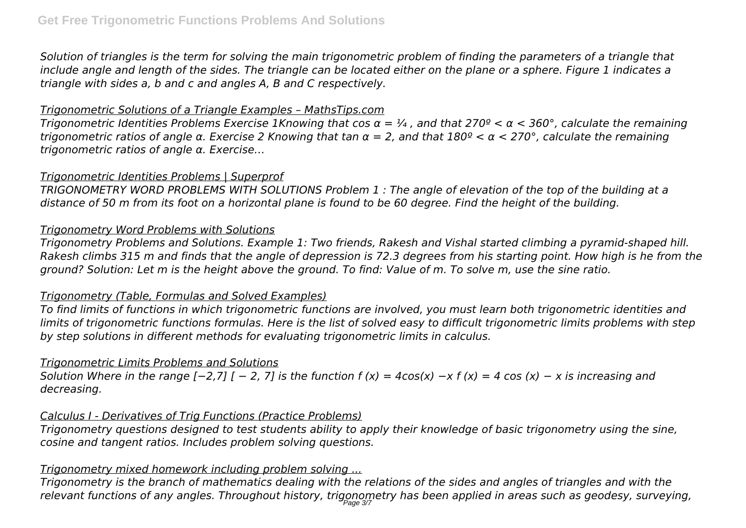*Solution of triangles is the term for solving the main trigonometric problem of finding the parameters of a triangle that include angle and length of the sides. The triangle can be located either on the plane or a sphere. Figure 1 indicates a triangle with sides a, b and c and angles A, B and C respectively.*

## *Trigonometric Solutions of a Triangle Examples – MathsTips.com*

*Trigonometric Identities Problems Exercise 1Knowing that cos α = ¼ , and that 270º < α < 360°, calculate the remaining trigonometric ratios of angle α. Exercise 2 Knowing that tan α = 2, and that 180º < α < 270°, calculate the remaining trigonometric ratios of angle α. Exercise…*

## *Trigonometric Identities Problems | Superprof*

*TRIGONOMETRY WORD PROBLEMS WITH SOLUTIONS Problem 1 : The angle of elevation of the top of the building at a distance of 50 m from its foot on a horizontal plane is found to be 60 degree. Find the height of the building.*

## *Trigonometry Word Problems with Solutions*

*Trigonometry Problems and Solutions. Example 1: Two friends, Rakesh and Vishal started climbing a pyramid-shaped hill. Rakesh climbs 315 m and finds that the angle of depression is 72.3 degrees from his starting point. How high is he from the ground? Solution: Let m is the height above the ground. To find: Value of m. To solve m, use the sine ratio.*

# *Trigonometry (Table, Formulas and Solved Examples)*

*To find limits of functions in which trigonometric functions are involved, you must learn both trigonometric identities and limits of trigonometric functions formulas. Here is the list of solved easy to difficult trigonometric limits problems with step by step solutions in different methods for evaluating trigonometric limits in calculus.*

# *Trigonometric Limits Problems and Solutions*

*Solution Where in the range [−2,7] [ − 2, 7] is the function f (x) = 4cos(x) −x f (x) = 4 cos (x) − x is increasing and decreasing.*

# *Calculus I - Derivatives of Trig Functions (Practice Problems)*

*Trigonometry questions designed to test students ability to apply their knowledge of basic trigonometry using the sine, cosine and tangent ratios. Includes problem solving questions.*

# *Trigonometry mixed homework including problem solving ...*

*Trigonometry is the branch of mathematics dealing with the relations of the sides and angles of triangles and with the relevant functions of any angles. Throughout history, trigonometry has been applied in areas such as geodesy, surveying,* Page 3/7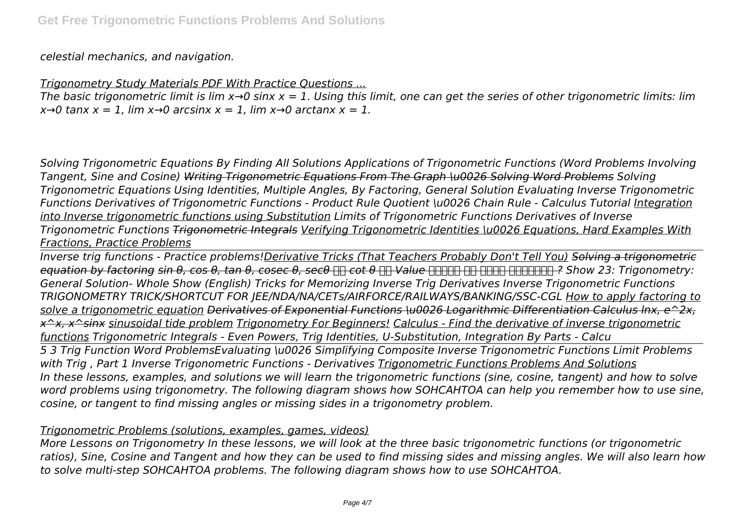*celestial mechanics, and navigation.*

#### *Trigonometry Study Materials PDF With Practice Questions ...*

*The basic trigonometric limit is lim x→0 sinx x = 1. Using this limit, one can get the series of other trigonometric limits: lim*  $x\rightarrow 0$  tanx  $x = 1$ , lim  $x\rightarrow 0$  arcsinx  $x = 1$ , lim  $x\rightarrow 0$  arctanx  $x = 1$ .

*Solving Trigonometric Equations By Finding All Solutions Applications of Trigonometric Functions (Word Problems Involving Tangent, Sine and Cosine) Writing Trigonometric Equations From The Graph \u0026 Solving Word Problems Solving Trigonometric Equations Using Identities, Multiple Angles, By Factoring, General Solution Evaluating Inverse Trigonometric Functions Derivatives of Trigonometric Functions - Product Rule Quotient \u0026 Chain Rule - Calculus Tutorial Integration into Inverse trigonometric functions using Substitution Limits of Trigonometric Functions Derivatives of Inverse Trigonometric Functions Trigonometric Integrals Verifying Trigonometric Identities \u0026 Equations, Hard Examples With Fractions, Practice Problems*

*Inverse trig functions - Practice problems!Derivative Tricks (That Teachers Probably Don't Tell You) Solving a trigonometric equation by factoring sin θ, cos θ, tan θ, cosec θ, secθ और cot θ का Value आसानी से कैसे निकालें ? Show 23: Trigonometry: General Solution- Whole Show (English) Tricks for Memorizing Inverse Trig Derivatives Inverse Trigonometric Functions TRIGONOMETRY TRICK/SHORTCUT FOR JEE/NDA/NA/CETs/AIRFORCE/RAILWAYS/BANKING/SSC-CGL How to apply factoring to solve a trigonometric equation Derivatives of Exponential Functions \u0026 Logarithmic Differentiation Calculus lnx, e^2x, x^x, x^sinx sinusoidal tide problem Trigonometry For Beginners! Calculus - Find the derivative of inverse trigonometric functions Trigonometric Integrals - Even Powers, Trig Identities, U-Substitution, Integration By Parts - Calcu* 

*5 3 Trig Function Word ProblemsEvaluating \u0026 Simplifying Composite Inverse Trigonometric Functions Limit Problems with Trig , Part 1 Inverse Trigonometric Functions - Derivatives Trigonometric Functions Problems And Solutions In these lessons, examples, and solutions we will learn the trigonometric functions (sine, cosine, tangent) and how to solve word problems using trigonometry. The following diagram shows how SOHCAHTOA can help you remember how to use sine, cosine, or tangent to find missing angles or missing sides in a trigonometry problem.*

#### *Trigonometric Problems (solutions, examples, games, videos)*

*More Lessons on Trigonometry In these lessons, we will look at the three basic trigonometric functions (or trigonometric ratios), Sine, Cosine and Tangent and how they can be used to find missing sides and missing angles. We will also learn how to solve multi-step SOHCAHTOA problems. The following diagram shows how to use SOHCAHTOA.*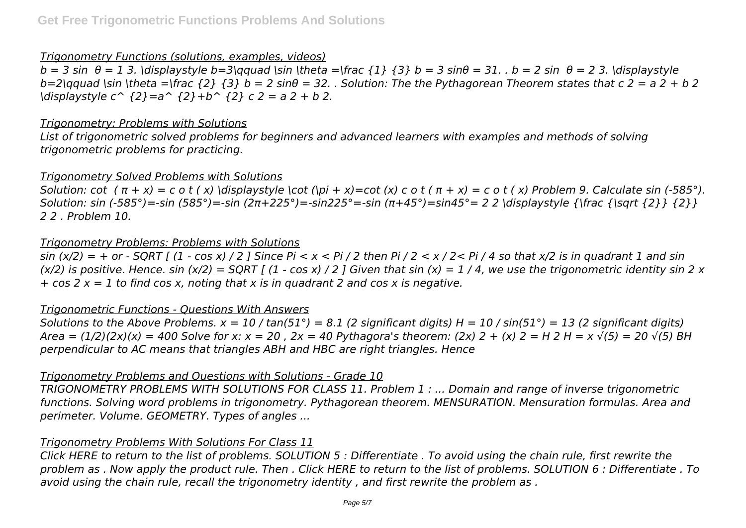#### *Trigonometry Functions (solutions, examples, videos)*

*b = 3 sin θ = 1 3. \displaystyle b=3\qquad \sin \theta =\frac {1} {3} b = 3 sinθ = 31. . b = 2 sin θ = 2 3. \displaystyle*  $b=2\text{qquad }$  \sin \theta =\frac  $\{2\}$   $\{3\}$   $b=2 \text{ sin}\theta = 32$ . . Solution: The the Pythagorean Theorem states that c 2 = a 2 + b 2 *\displaystyle c^ {2}=a^ {2}+b^ {2} c 2 = a 2 + b 2.*

#### *Trigonometry: Problems with Solutions*

*List of trigonometric solved problems for beginners and advanced learners with examples and methods of solving trigonometric problems for practicing.*

## *Trigonometry Solved Problems with Solutions*

*Solution: cot*  $(π + x) = c o t (x)$   $displays |x| < c o t (|pi + x) = cot (x) c o t (π + x) = c o t (x)$  Problem 9. Calculate sin (-585°). *Solution: sin (-585°)=-sin (585°)=-sin (2π+225°)=-sin225°=-sin (π+45°)=sin45°= 2 2 \displaystyle {\frac {\sqrt {2}} {2}} 2 2 . Problem 10.*

#### *Trigonometry Problems: Problems with Solutions*

*sin (x/2) = + or - SQRT [ (1 - cos x) / 2 ] Since Pi < x < Pi / 2 then Pi / 2 < x / 2< Pi / 4 so that x/2 is in quadrant 1 and sin (x/2) is positive. Hence. sin (x/2) = SQRT [ (1 - cos x) / 2 ] Given that sin (x) = 1 / 4, we use the trigonometric identity sin 2 x + cos 2 x = 1 to find cos x, noting that x is in quadrant 2 and cos x is negative.*

## *Trigonometric Functions - Questions With Answers*

*Solutions to the Above Problems. x = 10 / tan(51°) = 8.1 (2 significant digits) H = 10 / sin(51°) = 13 (2 significant digits) Area* =  $(1/2)(2x)(x)$  = 400 Solve for x: x = 20, 2x = 40 Pythagora's theorem:  $(2x)$  2 +  $(x)$  2 = H 2 H = x  $\sqrt{(5)}$  = 20  $\sqrt{(5)}$  BH *perpendicular to AC means that triangles ABH and HBC are right triangles. Hence*

## *Trigonometry Problems and Questions with Solutions - Grade 10*

*TRIGONOMETRY PROBLEMS WITH SOLUTIONS FOR CLASS 11. Problem 1 : ... Domain and range of inverse trigonometric functions. Solving word problems in trigonometry. Pythagorean theorem. MENSURATION. Mensuration formulas. Area and perimeter. Volume. GEOMETRY. Types of angles ...*

## *Trigonometry Problems With Solutions For Class 11*

*Click HERE to return to the list of problems. SOLUTION 5 : Differentiate . To avoid using the chain rule, first rewrite the problem as . Now apply the product rule. Then . Click HERE to return to the list of problems. SOLUTION 6 : Differentiate . To avoid using the chain rule, recall the trigonometry identity , and first rewrite the problem as .*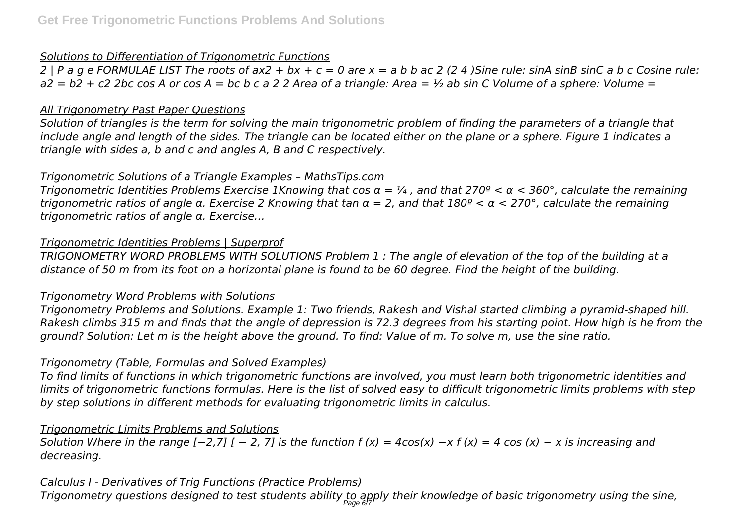## *Solutions to Differentiation of Trigonometric Functions*

*2 | P a g e FORMULAE LIST The roots of ax2 + bx + c = 0 are x = a b b ac 2 (2 4 )Sine rule: sinA sinB sinC a b c Cosine rule: a2 = b2 + c2 2bc cos A or cos A = bc b c a 2 2 Area of a triangle: Area = ½ ab sin C Volume of a sphere: Volume =*

## *All Trigonometry Past Paper Questions*

*Solution of triangles is the term for solving the main trigonometric problem of finding the parameters of a triangle that include angle and length of the sides. The triangle can be located either on the plane or a sphere. Figure 1 indicates a triangle with sides a, b and c and angles A, B and C respectively.*

## *Trigonometric Solutions of a Triangle Examples – MathsTips.com*

*Trigonometric Identities Problems Exercise 1Knowing that cos α = ¼ , and that 270º < α < 360°, calculate the remaining trigonometric ratios of angle α. Exercise 2 Knowing that tan α = 2, and that 180º < α < 270°, calculate the remaining trigonometric ratios of angle α. Exercise…*

## *Trigonometric Identities Problems | Superprof*

*TRIGONOMETRY WORD PROBLEMS WITH SOLUTIONS Problem 1 : The angle of elevation of the top of the building at a distance of 50 m from its foot on a horizontal plane is found to be 60 degree. Find the height of the building.*

## *Trigonometry Word Problems with Solutions*

*Trigonometry Problems and Solutions. Example 1: Two friends, Rakesh and Vishal started climbing a pyramid-shaped hill. Rakesh climbs 315 m and finds that the angle of depression is 72.3 degrees from his starting point. How high is he from the ground? Solution: Let m is the height above the ground. To find: Value of m. To solve m, use the sine ratio.*

# *Trigonometry (Table, Formulas and Solved Examples)*

*To find limits of functions in which trigonometric functions are involved, you must learn both trigonometric identities and limits of trigonometric functions formulas. Here is the list of solved easy to difficult trigonometric limits problems with step by step solutions in different methods for evaluating trigonometric limits in calculus.*

# *Trigonometric Limits Problems and Solutions*

*Solution Where in the range [−2,7] [ − 2, 7] is the function f (x) = 4cos(x) −x f (x) = 4 cos (x) − x is increasing and decreasing.*

# *Calculus I - Derivatives of Trig Functions (Practice Problems)*

*Trigonometry questions designed to test students ability to apply their knowledge of basic trigonometry using the sine,* Page 6/7